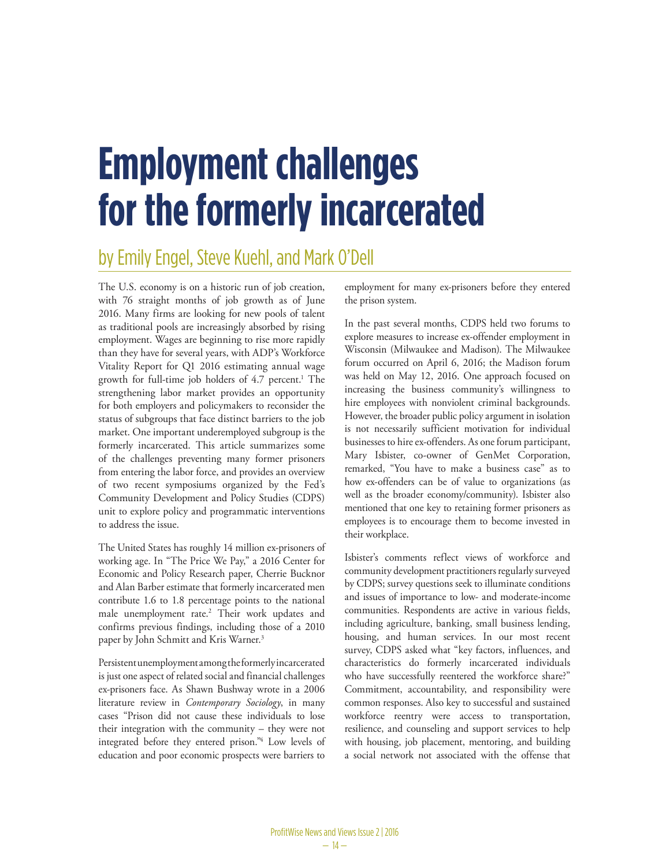# **Employment challenges for the formerly incarcerated**

## by Emily Engel, Steve Kuehl, and Mark O'Dell

The U.S. economy is on a historic run of job creation, with 76 straight months of job growth as of June 2016. Many firms are looking for new pools of talent as traditional pools are increasingly absorbed by rising employment. Wages are beginning to rise more rapidly than they have for several years, with ADP's Workforce Vitality Report for Q1 2016 estimating annual wage growth for full-time job holders of 4.7 percent.<sup>1</sup> The strengthening labor market provides an opportunity for both employers and policymakers to reconsider the status of subgroups that face distinct barriers to the job market. One important underemployed subgroup is the formerly incarcerated. This article summarizes some of the challenges preventing many former prisoners from entering the labor force, and provides an overview of two recent symposiums organized by the Fed's Community Development and Policy Studies (CDPS) unit to explore policy and programmatic interventions to address the issue.

The United States has roughly 14 million ex-prisoners of working age. In "The Price We Pay," a 2016 Center for Economic and Policy Research paper, Cherrie Bucknor and Alan Barber estimate that formerly incarcerated men contribute 1.6 to 1.8 percentage points to the national male unemployment rate.2 Their work updates and confirms previous findings, including those of a 2010 paper by John Schmitt and Kris Warner.<sup>3</sup>

Persistent unemployment among the formerly incarcerated is just one aspect of related social and financial challenges ex-prisoners face. As Shawn Bushway wrote in a 2006 literature review in *Contemporary Sociology*, in many cases "Prison did not cause these individuals to lose their integration with the community – they were not integrated before they entered prison."4 Low levels of education and poor economic prospects were barriers to

employment for many ex-prisoners before they entered the prison system.

In the past several months, CDPS held two forums to explore measures to increase ex-offender employment in Wisconsin (Milwaukee and Madison). The Milwaukee forum occurred on April 6, 2016; the Madison forum was held on May 12, 2016. One approach focused on increasing the business community's willingness to hire employees with nonviolent criminal backgrounds. However, the broader public policy argument in isolation is not necessarily sufficient motivation for individual businesses to hire ex-offenders. As one forum participant, Mary Isbister, co-owner of GenMet Corporation, remarked, "You have to make a business case" as to how ex-offenders can be of value to organizations (as well as the broader economy/community). Isbister also mentioned that one key to retaining former prisoners as employees is to encourage them to become invested in their workplace.

Isbister's comments reflect views of workforce and community development practitioners regularly surveyed by CDPS; survey questions seek to illuminate conditions and issues of importance to low- and moderate-income communities. Respondents are active in various fields, including agriculture, banking, small business lending, housing, and human services. In our most recent survey, CDPS asked what "key factors, influences, and characteristics do formerly incarcerated individuals who have successfully reentered the workforce share?" Commitment, accountability, and responsibility were common responses. Also key to successful and sustained workforce reentry were access to transportation, resilience, and counseling and support services to help with housing, job placement, mentoring, and building a social network not associated with the offense that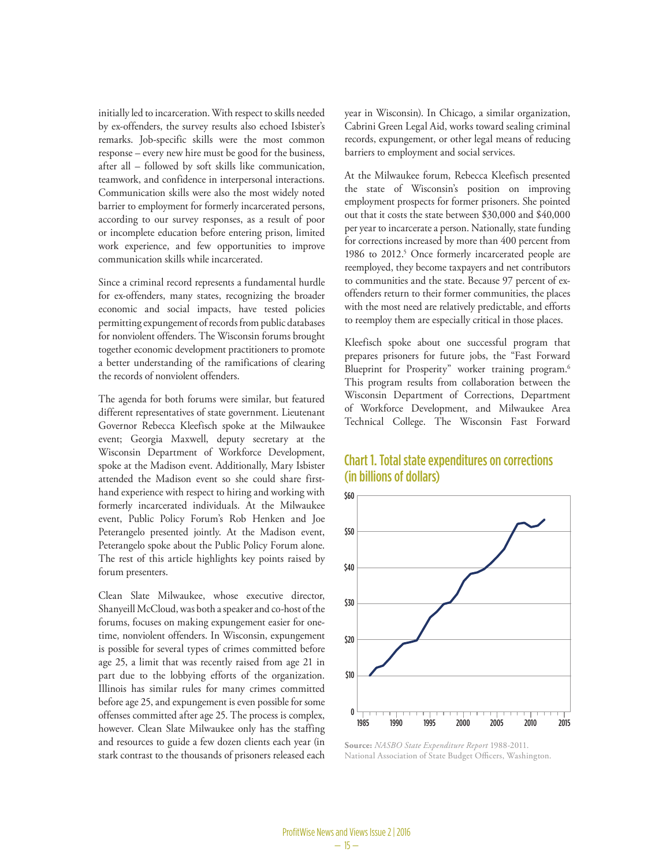initially led to incarceration. With respect to skills needed by ex-offenders, the survey results also echoed Isbister's remarks. Job-specific skills were the most common response – every new hire must be good for the business, after all – followed by soft skills like communication, teamwork, and confidence in interpersonal interactions. Communication skills were also the most widely noted barrier to employment for formerly incarcerated persons, according to our survey responses, as a result of poor or incomplete education before entering prison, limited work experience, and few opportunities to improve communication skills while incarcerated.

Since a criminal record represents a fundamental hurdle for ex-offenders, many states, recognizing the broader economic and social impacts, have tested policies permitting expungement of records from public databases for nonviolent offenders. The Wisconsin forums brought together economic development practitioners to promote a better understanding of the ramifications of clearing the records of nonviolent offenders.

The agenda for both forums were similar, but featured different representatives of state government. Lieutenant Governor Rebecca Kleefisch spoke at the Milwaukee event; Georgia Maxwell, deputy secretary at the Wisconsin Department of Workforce Development, spoke at the Madison event. Additionally, Mary Isbister attended the Madison event so she could share firsthand experience with respect to hiring and working with formerly incarcerated individuals. At the Milwaukee event, Public Policy Forum's Rob Henken and Joe Peterangelo presented jointly. At the Madison event, Peterangelo spoke about the Public Policy Forum alone. The rest of this article highlights key points raised by forum presenters.

Clean Slate Milwaukee, whose executive director, Shanyeill McCloud, was both a speaker and co-host of the forums, focuses on making expungement easier for onetime, nonviolent offenders. In Wisconsin, expungement is possible for several types of crimes committed before age 25, a limit that was recently raised from age 21 in part due to the lobbying efforts of the organization. Illinois has similar rules for many crimes committed before age 25, and expungement is even possible for some offenses committed after age 25. The process is complex, however. Clean Slate Milwaukee only has the staffing and resources to guide a few dozen clients each year (in stark contrast to the thousands of prisoners released each

year in Wisconsin). In Chicago, a similar organization, Cabrini Green Legal Aid, works toward sealing criminal records, expungement, or other legal means of reducing barriers to employment and social services.

At the Milwaukee forum, Rebecca Kleefisch presented the state of Wisconsin's position on improving employment prospects for former prisoners. She pointed out that it costs the state between \$30,000 and \$40,000 per year to incarcerate a person. Nationally, state funding for corrections increased by more than 400 percent from 1986 to 2012.<sup>5</sup> Once formerly incarcerated people are reemployed, they become taxpayers and net contributors to communities and the state. Because 97 percent of exoffenders return to their former communities, the places with the most need are relatively predictable, and efforts to reemploy them are especially critical in those places.

Kleefisch spoke about one successful program that prepares prisoners for future jobs, the "Fast Forward Blueprint for Prosperity" worker training program.<sup>6</sup> This program results from collaboration between the Wisconsin Department of Corrections, Department of Workforce Development, and Milwaukee Area Technical College. The Wisconsin Fast Forward

#### Chart 1. Total state expenditures on corrections (in billions of dollars)



**Source:** *NASBO State Expenditure Report* 1988-2011. National Association of State Budget Officers, Washington.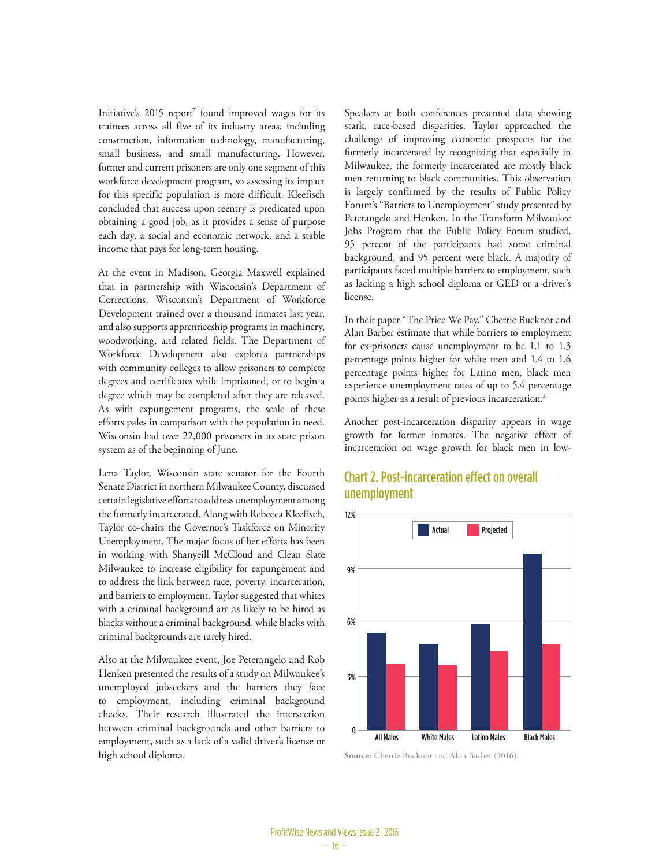Initiative's 2015 report<sup>7</sup> found improved wages for its trainees across all five of its industry areas, including construction, information technology, manufacturing, small business, and small manufacturing. However, former and current prisoners are only one segment of this workforce development program, so assessing its impact for this specific population is more difficult. Kleefisch concluded that success upon reentry is predicated upon obtaining a good job, as it provides a sense of purpose each day, a social and economic network, and a stable income that pays for long-term housing.

At the event in Madison, Georgia Maxwell explained that in partnership with Wisconsin's Department of Corrections, Wisconsin's Department of Workforce Development trained over a thousand inmates last year, and also supports apprenticeship programs in machinery, woodworking, and related fields. The Department of Workforce Development also explores partnerships with community colleges to allow prisoners to complete degrees and certificates while imprisoned, or to begin a degree which may be completed after they are released. As with expungement programs, the scale of these efforts pales in comparison with the population in need. Wisconsin had over 22,000 prisoners in its state prison system as of the beginning of June.

Lena Taylor, Wisconsin state senator for the Fourth Senate District in northern Milwaukee County, discussed certain legislative efforts to address unemployment among the formerly incarcerated. Along with Rebecca Kleefisch, Taylor co-chairs the Governor's Taskforce on Minority Unemployment. The major focus of her efforts has been in working with Shanyeill McCloud and Clean Slate Milwaukee to increase eligibility for expungement and to address the link between race, poverty, incarceration, and barriers to employment. Taylor suggested that whites with a criminal background are as likely to be hired as blacks without a criminal background, while blacks with criminal backgrounds are rarely hired.

Also at the Milwaukee event, Joe Peterangelo and Rob Henken presented the results of a study on Milwaukee's unemployed jobseekers and the barriers they face to employment, including criminal background checks. Their research illustrated the intersection between criminal backgrounds and other barriers to employment, such as a lack of a valid driver's license or high school diploma.

Speakers at both conferences presented data showing stark, race-based disparities. Taylor approached the challenge of improving economic prospects for the formerly incarcerated by recognizing that especially in Milwaukee, the formerly incarcerated are mostly black men returning to black communities. This observation is largely confirmed by the results of Public Policy Forum's "Barriers to Unemployment" study presented by Peterangelo and Henken. In the Transform Milwaukee Jobs Program that the Public Policy Forum studied, 95 percent of the participants had some criminal background, and 95 percent were black. A majority of participants faced multiple barriers to employment, such as lacking a high school diploma or GED or a driver's license.

In their paper "The Price We Pay," Cherrie Bucknor and Alan Barber estimate that while barriers to employment for ex-prisoners cause unemployment to be 1.1 to 1.3 percentage points higher for white men and 1.4 to 1.6 percentage points higher for Latino men, black men experience unemployment rates of up to 5.4 percentage points higher as a result of previous incarceration.8

Another post-incarceration disparity appears in wage growth for former inmates. The negative effect of incarceration on wage growth for black men in low-

### Chart 2. Post-incarceration effect on overall unemployment



**Source:** Cherrie Bucknor and Alan Barber (2016).